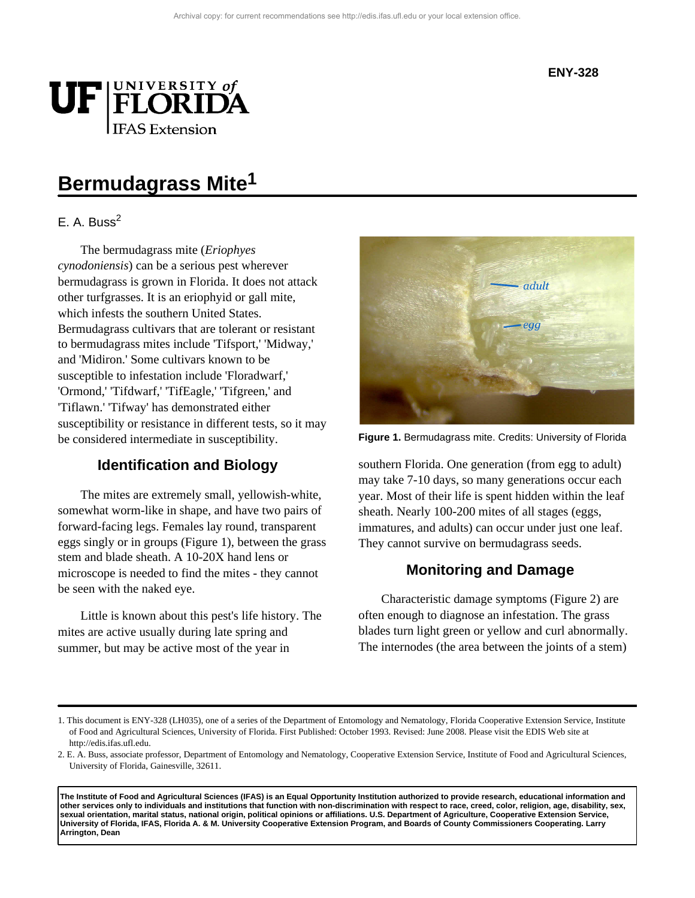

# **Bermudagrass Mite1**

### E. A. Buss $<sup>2</sup>$ </sup>

The bermudagrass mite (*Eriophyes cynodoniensis*) can be a serious pest wherever bermudagrass is grown in Florida. It does not attack other turfgrasses. It is an eriophyid or gall mite, which infests the southern United States. Bermudagrass cultivars that are tolerant or resistant to bermudagrass mites include 'Tifsport,' 'Midway,' and 'Midiron.' Some cultivars known to be susceptible to infestation include 'Floradwarf,' 'Ormond,' 'Tifdwarf,' 'TifEagle,' 'Tifgreen,' and 'Tiflawn.' 'Tifway' has demonstrated either susceptibility or resistance in different tests, so it may be considered intermediate in susceptibility.

### **Identification and Biology**

The mites are extremely small, yellowish-white, somewhat worm-like in shape, and have two pairs of forward-facing legs. Females lay round, transparent eggs singly or in groups (Figure 1), between the grass stem and blade sheath. A 10-20X hand lens or microscope is needed to find the mites - they cannot be seen with the naked eye.

Little is known about this pest's life history. The mites are active usually during late spring and summer, but may be active most of the year in



**Figure 1.** Bermudagrass mite. Credits: University of Florida

southern Florida. One generation (from egg to adult) may take 7-10 days, so many generations occur each year. Most of their life is spent hidden within the leaf sheath. Nearly 100-200 mites of all stages (eggs, immatures, and adults) can occur under just one leaf. They cannot survive on bermudagrass seeds.

### **Monitoring and Damage**

Characteristic damage symptoms (Figure 2) are often enough to diagnose an infestation. The grass blades turn light green or yellow and curl abnormally. The internodes (the area between the joints of a stem)

**The Institute of Food and Agricultural Sciences (IFAS) is an Equal Opportunity Institution authorized to provide research, educational information and other services only to individuals and institutions that function with non-discrimination with respect to race, creed, color, religion, age, disability, sex, sexual orientation, marital status, national origin, political opinions or affiliations. U.S. Department of Agriculture, Cooperative Extension Service, University of Florida, IFAS, Florida A. & M. University Cooperative Extension Program, and Boards of County Commissioners Cooperating. Larry Arrington, Dean**

<sup>1.</sup> This document is ENY-328 (LH035), one of a series of the Department of Entomology and Nematology, Florida Cooperative Extension Service, Institute of Food and Agricultural Sciences, University of Florida. First Published: October 1993. Revised: June 2008. Please visit the EDIS Web site at http://edis.ifas.ufl.edu.

<sup>2.</sup> E. A. Buss, associate professor, Department of Entomology and Nematology, Cooperative Extension Service, Institute of Food and Agricultural Sciences, University of Florida, Gainesville, 32611.